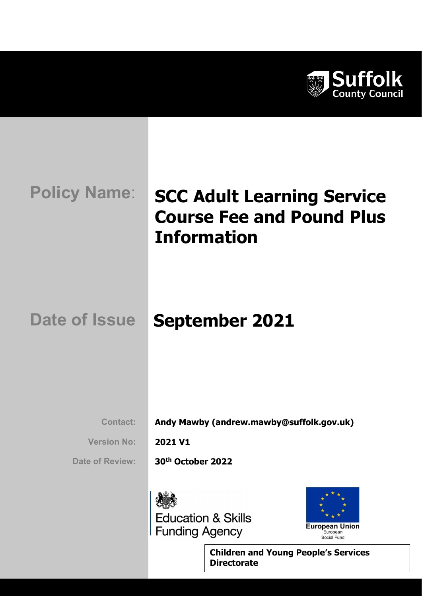

# **Policy Name:** SCC Adult Learning Service Course Fee and Pound Plus Information

## Date of Issue September 2021

Contact: Andy Mawby (andrew.mawby@suffolk.gov.uk)

Version No: 2021 V1

Date of Review: 30<sup>th</sup> October 2022





Children and Young People's Services **Directorate**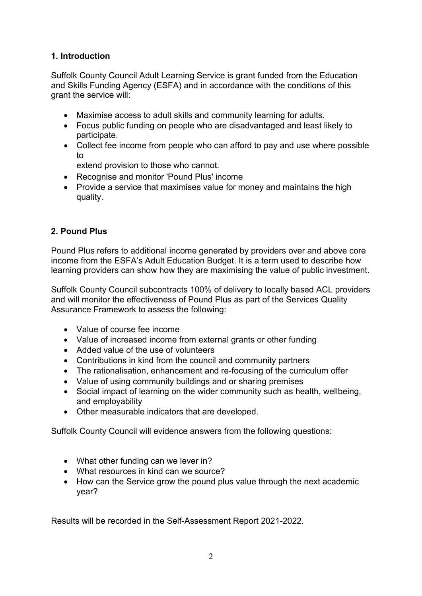## 1. Introduction

Suffolk County Council Adult Learning Service is grant funded from the Education and Skills Funding Agency (ESFA) and in accordance with the conditions of this grant the service will:

- Maximise access to adult skills and community learning for adults.
- Focus public funding on people who are disadvantaged and least likely to participate.
- Collect fee income from people who can afford to pay and use where possible to

extend provision to those who cannot.

- Recognise and monitor 'Pound Plus' income
- Provide a service that maximises value for money and maintains the high quality.

### 2. Pound Plus

Pound Plus refers to additional income generated by providers over and above core income from the ESFA's Adult Education Budget. It is a term used to describe how learning providers can show how they are maximising the value of public investment.

Suffolk County Council subcontracts 100% of delivery to locally based ACL providers and will monitor the effectiveness of Pound Plus as part of the Services Quality Assurance Framework to assess the following:

- Value of course fee income
- Value of increased income from external grants or other funding
- Added value of the use of volunteers
- Contributions in kind from the council and community partners
- The rationalisation, enhancement and re-focusing of the curriculum offer
- Value of using community buildings and or sharing premises
- Social impact of learning on the wider community such as health, wellbeing, and employability
- Other measurable indicators that are developed.

Suffolk County Council will evidence answers from the following questions:

- What other funding can we lever in?
- What resources in kind can we source?
- How can the Service grow the pound plus value through the next academic year?

Results will be recorded in the Self-Assessment Report 2021-2022.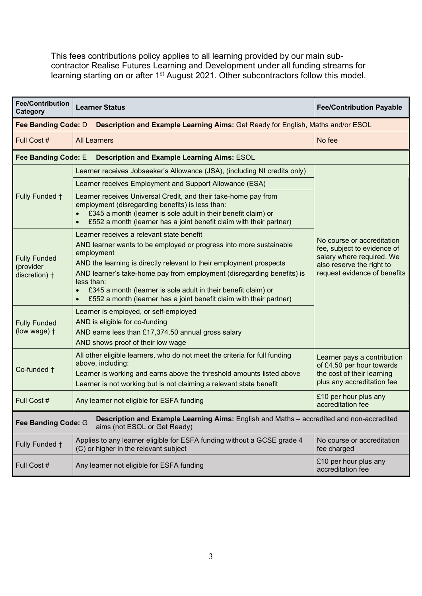This fees contributions policy applies to all learning provided by our main subcontractor Realise Futures Learning and Development under all funding streams for learning starting on or after 1<sup>st</sup> August 2021. Other subcontractors follow this model.

| <b>Fee/Contribution</b><br>Category                                                                                                             | <b>Learner Status</b>                                                                                                                                                                                                                                                                                                                                                                                                                 | <b>Fee/Contribution Payable</b>                                                                                                                     |  |  |
|-------------------------------------------------------------------------------------------------------------------------------------------------|---------------------------------------------------------------------------------------------------------------------------------------------------------------------------------------------------------------------------------------------------------------------------------------------------------------------------------------------------------------------------------------------------------------------------------------|-----------------------------------------------------------------------------------------------------------------------------------------------------|--|--|
| Fee Banding Code: D<br>Description and Example Learning Aims: Get Ready for English, Maths and/or ESOL                                          |                                                                                                                                                                                                                                                                                                                                                                                                                                       |                                                                                                                                                     |  |  |
| Full Cost #                                                                                                                                     | <b>All Learners</b>                                                                                                                                                                                                                                                                                                                                                                                                                   | No fee                                                                                                                                              |  |  |
| Fee Banding Code: E<br><b>Description and Example Learning Aims: ESOL</b>                                                                       |                                                                                                                                                                                                                                                                                                                                                                                                                                       |                                                                                                                                                     |  |  |
|                                                                                                                                                 | Learner receives Jobseeker's Allowance (JSA), (including NI credits only)                                                                                                                                                                                                                                                                                                                                                             |                                                                                                                                                     |  |  |
|                                                                                                                                                 | Learner receives Employment and Support Allowance (ESA)                                                                                                                                                                                                                                                                                                                                                                               |                                                                                                                                                     |  |  |
| Fully Funded +                                                                                                                                  | Learner receives Universal Credit, and their take-home pay from<br>employment (disregarding benefits) is less than:<br>£345 a month (learner is sole adult in their benefit claim) or<br>£552 a month (learner has a joint benefit claim with their partner)                                                                                                                                                                          |                                                                                                                                                     |  |  |
| <b>Fully Funded</b><br>(provider<br>discretion) +                                                                                               | Learner receives a relevant state benefit<br>AND learner wants to be employed or progress into more sustainable<br>employment<br>AND the learning is directly relevant to their employment prospects<br>AND learner's take-home pay from employment (disregarding benefits) is<br>less than:<br>£345 a month (learner is sole adult in their benefit claim) or<br>£552 a month (learner has a joint benefit claim with their partner) | No course or accreditation<br>fee, subject to evidence of<br>salary where required. We<br>also reserve the right to<br>request evidence of benefits |  |  |
| <b>Fully Funded</b><br>(low wage) +                                                                                                             | Learner is employed, or self-employed<br>AND is eligible for co-funding<br>AND earns less than £17,374.50 annual gross salary<br>AND shows proof of their low wage                                                                                                                                                                                                                                                                    |                                                                                                                                                     |  |  |
| Co-funded +                                                                                                                                     | All other eligible learners, who do not meet the criteria for full funding<br>above, including:<br>Learner is working and earns above the threshold amounts listed above<br>Learner is not working but is not claiming a relevant state benefit                                                                                                                                                                                       | Learner pays a contribution<br>of £4.50 per hour towards<br>the cost of their learning<br>plus any accreditation fee                                |  |  |
| Full Cost #                                                                                                                                     | Any learner not eligible for ESFA funding                                                                                                                                                                                                                                                                                                                                                                                             | £10 per hour plus any<br>accreditation fee                                                                                                          |  |  |
| Description and Example Learning Aims: English and Maths - accredited and non-accredited<br>Fee Banding Code: G<br>aims (not ESOL or Get Ready) |                                                                                                                                                                                                                                                                                                                                                                                                                                       |                                                                                                                                                     |  |  |
| Fully Funded +                                                                                                                                  | Applies to any learner eligible for ESFA funding without a GCSE grade 4<br>(C) or higher in the relevant subject                                                                                                                                                                                                                                                                                                                      | No course or accreditation<br>fee charged                                                                                                           |  |  |
| Full Cost #                                                                                                                                     | Any learner not eligible for ESFA funding                                                                                                                                                                                                                                                                                                                                                                                             | £10 per hour plus any<br>accreditation fee                                                                                                          |  |  |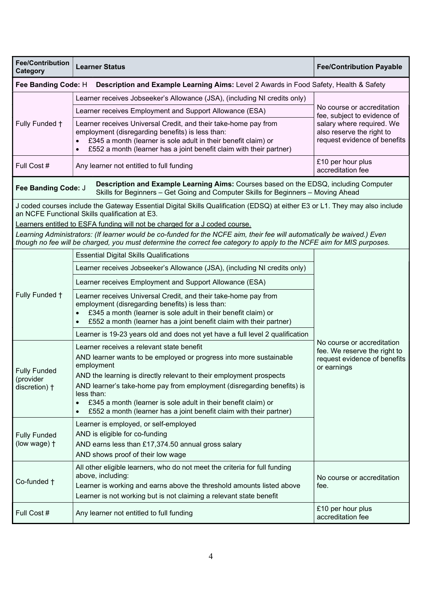| <b>Fee/Contribution</b><br>Category                                                                                                                                                              | <b>Learner Status</b>                                                                                                                                                                                                                                                                                                                                                                                                                                                                                                                                                  | <b>Fee/Contribution Payable</b>                                                                                                                     |  |  |
|--------------------------------------------------------------------------------------------------------------------------------------------------------------------------------------------------|------------------------------------------------------------------------------------------------------------------------------------------------------------------------------------------------------------------------------------------------------------------------------------------------------------------------------------------------------------------------------------------------------------------------------------------------------------------------------------------------------------------------------------------------------------------------|-----------------------------------------------------------------------------------------------------------------------------------------------------|--|--|
| Fee Banding Code: H<br>Description and Example Learning Aims: Level 2 Awards in Food Safety, Health & Safety                                                                                     |                                                                                                                                                                                                                                                                                                                                                                                                                                                                                                                                                                        |                                                                                                                                                     |  |  |
| Fully Funded +                                                                                                                                                                                   | Learner receives Jobseeker's Allowance (JSA), (including NI credits only)                                                                                                                                                                                                                                                                                                                                                                                                                                                                                              | No course or accreditation<br>fee, subject to evidence of<br>salary where required. We<br>also reserve the right to<br>request evidence of benefits |  |  |
|                                                                                                                                                                                                  | Learner receives Employment and Support Allowance (ESA)                                                                                                                                                                                                                                                                                                                                                                                                                                                                                                                |                                                                                                                                                     |  |  |
|                                                                                                                                                                                                  | Learner receives Universal Credit, and their take-home pay from<br>employment (disregarding benefits) is less than:<br>£345 a month (learner is sole adult in their benefit claim) or<br>£552 a month (learner has a joint benefit claim with their partner)                                                                                                                                                                                                                                                                                                           |                                                                                                                                                     |  |  |
| Full Cost #                                                                                                                                                                                      | Any learner not entitled to full funding                                                                                                                                                                                                                                                                                                                                                                                                                                                                                                                               | £10 per hour plus<br>accreditation fee                                                                                                              |  |  |
| Description and Example Learning Aims: Courses based on the EDSQ, including Computer<br>Fee Banding Code: J<br>Skills for Beginners - Get Going and Computer Skills for Beginners - Moving Ahead |                                                                                                                                                                                                                                                                                                                                                                                                                                                                                                                                                                        |                                                                                                                                                     |  |  |
| J coded courses include the Gateway Essential Digital Skills Qualification (EDSQ) at either E3 or L1. They may also include<br>an NCFE Functional Skills qualification at E3.                    |                                                                                                                                                                                                                                                                                                                                                                                                                                                                                                                                                                        |                                                                                                                                                     |  |  |
|                                                                                                                                                                                                  | Learners entitled to ESFA funding will not be charged for a J coded course.                                                                                                                                                                                                                                                                                                                                                                                                                                                                                            |                                                                                                                                                     |  |  |
|                                                                                                                                                                                                  | Learning Administrators: (If learner would be co-funded for the NCFE aim, their fee will automatically be waived.) Even<br>though no fee will be charged, you must determine the correct fee category to apply to the NCFE aim for MIS purposes.                                                                                                                                                                                                                                                                                                                       |                                                                                                                                                     |  |  |
|                                                                                                                                                                                                  | <b>Essential Digital Skills Qualifications</b>                                                                                                                                                                                                                                                                                                                                                                                                                                                                                                                         |                                                                                                                                                     |  |  |
|                                                                                                                                                                                                  | Learner receives Jobseeker's Allowance (JSA), (including NI credits only)                                                                                                                                                                                                                                                                                                                                                                                                                                                                                              | No course or accreditation<br>fee. We reserve the right to<br>request evidence of benefits<br>or earnings                                           |  |  |
|                                                                                                                                                                                                  | Learner receives Employment and Support Allowance (ESA)                                                                                                                                                                                                                                                                                                                                                                                                                                                                                                                |                                                                                                                                                     |  |  |
| Fully Funded +                                                                                                                                                                                   | Learner receives Universal Credit, and their take-home pay from<br>employment (disregarding benefits) is less than:<br>£345 a month (learner is sole adult in their benefit claim) or<br>£552 a month (learner has a joint benefit claim with their partner)                                                                                                                                                                                                                                                                                                           |                                                                                                                                                     |  |  |
|                                                                                                                                                                                                  | Learner is 19-23 years old and does not yet have a full level 2 qualification                                                                                                                                                                                                                                                                                                                                                                                                                                                                                          |                                                                                                                                                     |  |  |
| <b>Fully Funded</b><br>(provider<br>discretion) +<br><b>Fully Funded</b><br>(low wage) +                                                                                                         | Learner receives a relevant state benefit<br>AND learner wants to be employed or progress into more sustainable<br>employment<br>AND the learning is directly relevant to their employment prospects<br>AND learner's take-home pay from employment (disregarding benefits) is<br>less than:<br>£345 a month (learner is sole adult in their benefit claim) or<br>£552 a month (learner has a joint benefit claim with their partner)<br>Learner is employed, or self-employed<br>AND is eligible for co-funding<br>AND earns less than £17,374.50 annual gross salary |                                                                                                                                                     |  |  |
|                                                                                                                                                                                                  | AND shows proof of their low wage                                                                                                                                                                                                                                                                                                                                                                                                                                                                                                                                      |                                                                                                                                                     |  |  |
| Co-funded +                                                                                                                                                                                      | All other eligible learners, who do not meet the criteria for full funding<br>above, including:<br>Learner is working and earns above the threshold amounts listed above<br>Learner is not working but is not claiming a relevant state benefit                                                                                                                                                                                                                                                                                                                        | No course or accreditation<br>fee.                                                                                                                  |  |  |
| Full Cost #                                                                                                                                                                                      | Any learner not entitled to full funding                                                                                                                                                                                                                                                                                                                                                                                                                                                                                                                               | £10 per hour plus<br>accreditation fee                                                                                                              |  |  |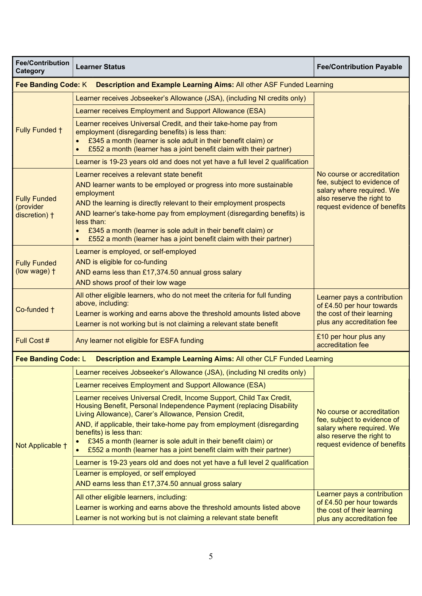| <b>Fee/Contribution</b><br>Category                                                                       | <b>Learner Status</b>                                                                                                                                                                                                                                                                                                                                                                                                                              | <b>Fee/Contribution Payable</b>                                                                                                                     |  |  |
|-----------------------------------------------------------------------------------------------------------|----------------------------------------------------------------------------------------------------------------------------------------------------------------------------------------------------------------------------------------------------------------------------------------------------------------------------------------------------------------------------------------------------------------------------------------------------|-----------------------------------------------------------------------------------------------------------------------------------------------------|--|--|
| <b>Fee Banding Code: K</b><br><b>Description and Example Learning Aims: All other ASF Funded Learning</b> |                                                                                                                                                                                                                                                                                                                                                                                                                                                    |                                                                                                                                                     |  |  |
| Fully Funded +                                                                                            | Learner receives Jobseeker's Allowance (JSA), (including NI credits only)                                                                                                                                                                                                                                                                                                                                                                          |                                                                                                                                                     |  |  |
|                                                                                                           | Learner receives Employment and Support Allowance (ESA)                                                                                                                                                                                                                                                                                                                                                                                            |                                                                                                                                                     |  |  |
|                                                                                                           | Learner receives Universal Credit, and their take-home pay from<br>employment (disregarding benefits) is less than:<br>£345 a month (learner is sole adult in their benefit claim) or<br>£552 a month (learner has a joint benefit claim with their partner)                                                                                                                                                                                       |                                                                                                                                                     |  |  |
|                                                                                                           | Learner is 19-23 years old and does not yet have a full level 2 qualification                                                                                                                                                                                                                                                                                                                                                                      |                                                                                                                                                     |  |  |
| <b>Fully Funded</b><br>(provider<br>discretion) +                                                         | Learner receives a relevant state benefit<br>AND learner wants to be employed or progress into more sustainable<br>employment<br>AND the learning is directly relevant to their employment prospects<br>AND learner's take-home pay from employment (disregarding benefits) is<br>less than:<br>£345 a month (learner is sole adult in their benefit claim) or<br>£552 a month (learner has a joint benefit claim with their partner)              | No course or accreditation<br>fee, subject to evidence of<br>salary where required. We<br>also reserve the right to<br>request evidence of benefits |  |  |
| <b>Fully Funded</b><br>(low wage) +                                                                       | Learner is employed, or self-employed<br>AND is eligible for co-funding<br>AND earns less than £17,374.50 annual gross salary<br>AND shows proof of their low wage                                                                                                                                                                                                                                                                                 |                                                                                                                                                     |  |  |
| Co-funded +                                                                                               | All other eligible learners, who do not meet the criteria for full funding<br>above, including:<br>Learner is working and earns above the threshold amounts listed above<br>Learner is not working but is not claiming a relevant state benefit                                                                                                                                                                                                    | Learner pays a contribution<br>of £4.50 per hour towards<br>the cost of their learning<br>plus any accreditation fee                                |  |  |
| Full Cost #                                                                                               | Any learner not eligible for ESFA funding                                                                                                                                                                                                                                                                                                                                                                                                          | £10 per hour plus any<br>accreditation fee                                                                                                          |  |  |
| Fee Banding Code: L                                                                                       | Description and Example Learning Aims: All other CLF Funded Learning                                                                                                                                                                                                                                                                                                                                                                               |                                                                                                                                                     |  |  |
|                                                                                                           | Learner receives Jobseeker's Allowance (JSA), (including NI credits only)                                                                                                                                                                                                                                                                                                                                                                          | No course or accreditation<br>fee, subject to evidence of<br>salary where required. We<br>also reserve the right to<br>request evidence of benefits |  |  |
|                                                                                                           | Learner receives Employment and Support Allowance (ESA)                                                                                                                                                                                                                                                                                                                                                                                            |                                                                                                                                                     |  |  |
| Not Applicable +                                                                                          | Learner receives Universal Credit, Income Support, Child Tax Credit,<br>Housing Benefit, Personal Independence Payment (replacing Disability<br>Living Allowance), Carer's Allowance, Pension Credit,<br>AND, if applicable, their take-home pay from employment (disregarding<br>benefits) is less than:<br>£345 a month (learner is sole adult in their benefit claim) or<br>£552 a month (learner has a joint benefit claim with their partner) |                                                                                                                                                     |  |  |
|                                                                                                           | Learner is 19-23 years old and does not yet have a full level 2 qualification                                                                                                                                                                                                                                                                                                                                                                      |                                                                                                                                                     |  |  |
|                                                                                                           | Learner is employed, or self employed<br>AND earns less than £17,374.50 annual gross salary                                                                                                                                                                                                                                                                                                                                                        |                                                                                                                                                     |  |  |
|                                                                                                           | All other eligible learners, including:<br>Learner is working and earns above the threshold amounts listed above<br>Learner is not working but is not claiming a relevant state benefit                                                                                                                                                                                                                                                            | Learner pays a contribution<br>of £4.50 per hour towards<br>the cost of their learning<br>plus any accreditation fee                                |  |  |